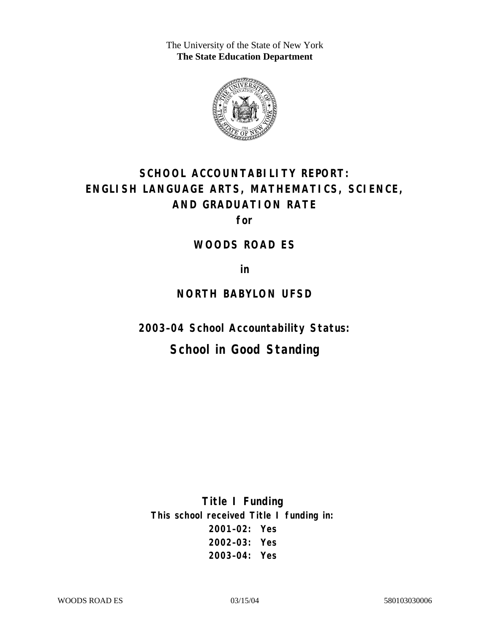The University of the State of New York **The State Education Department** 



# **SCHOOL ACCOUNTABILITY REPORT: ENGLISH LANGUAGE ARTS, MATHEMATICS, SCIENCE, AND GRADUATION RATE**

**for** 

### **WOODS ROAD ES**

**in** 

### **NORTH BABYLON UFSD**

**2003–04 School Accountability Status:** 

# **School in Good Standing**

**Title I Funding This school received Title I funding in: 2001–02: Yes 2002–03: Yes 2003–04: Yes**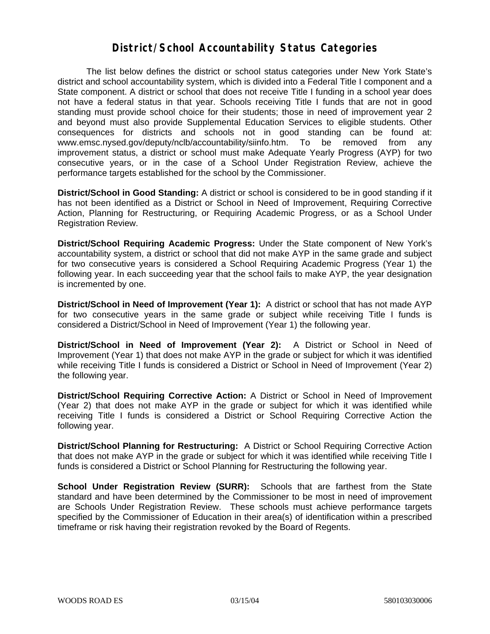### **District/School Accountability Status Categories**

The list below defines the district or school status categories under New York State's district and school accountability system, which is divided into a Federal Title I component and a State component. A district or school that does not receive Title I funding in a school year does not have a federal status in that year. Schools receiving Title I funds that are not in good standing must provide school choice for their students; those in need of improvement year 2 and beyond must also provide Supplemental Education Services to eligible students. Other consequences for districts and schools not in good standing can be found at: www.emsc.nysed.gov/deputy/nclb/accountability/siinfo.htm. To be removed from any improvement status, a district or school must make Adequate Yearly Progress (AYP) for two consecutive years, or in the case of a School Under Registration Review, achieve the performance targets established for the school by the Commissioner.

**District/School in Good Standing:** A district or school is considered to be in good standing if it has not been identified as a District or School in Need of Improvement, Requiring Corrective Action, Planning for Restructuring, or Requiring Academic Progress, or as a School Under Registration Review.

**District/School Requiring Academic Progress:** Under the State component of New York's accountability system, a district or school that did not make AYP in the same grade and subject for two consecutive years is considered a School Requiring Academic Progress (Year 1) the following year. In each succeeding year that the school fails to make AYP, the year designation is incremented by one.

**District/School in Need of Improvement (Year 1):** A district or school that has not made AYP for two consecutive years in the same grade or subject while receiving Title I funds is considered a District/School in Need of Improvement (Year 1) the following year.

**District/School in Need of Improvement (Year 2):** A District or School in Need of Improvement (Year 1) that does not make AYP in the grade or subject for which it was identified while receiving Title I funds is considered a District or School in Need of Improvement (Year 2) the following year.

**District/School Requiring Corrective Action:** A District or School in Need of Improvement (Year 2) that does not make AYP in the grade or subject for which it was identified while receiving Title I funds is considered a District or School Requiring Corrective Action the following year.

**District/School Planning for Restructuring:** A District or School Requiring Corrective Action that does not make AYP in the grade or subject for which it was identified while receiving Title I funds is considered a District or School Planning for Restructuring the following year.

**School Under Registration Review (SURR):** Schools that are farthest from the State standard and have been determined by the Commissioner to be most in need of improvement are Schools Under Registration Review. These schools must achieve performance targets specified by the Commissioner of Education in their area(s) of identification within a prescribed timeframe or risk having their registration revoked by the Board of Regents.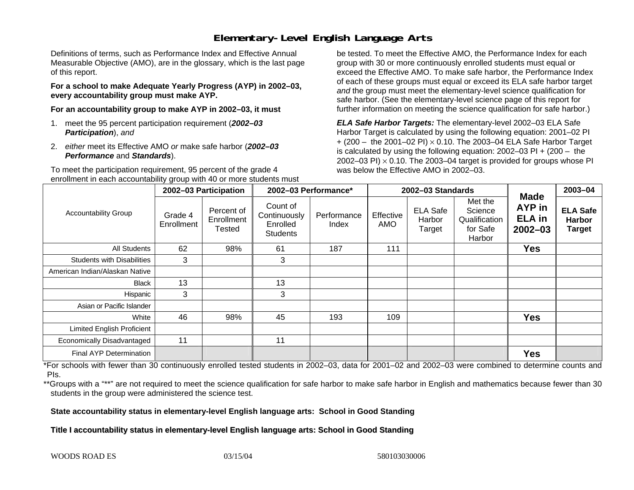# **Elementary-Level English Language Arts**

Definitions of terms, such as Performance Index and Effective Annual Measurable Objective (AMO), are in the glossary, which is the last page of this report.

**For a school to make Adequate Yearly Progress (AYP) in 2002–03, every accountability group must make AYP.** 

**For an accountability group to make AYP in 2002–03, it must** 

- 1. meet the 95 percent participation requirement (*2002–03 Participation*), *and*
- 2. *either* meet its Effective AMO *or* make safe harbor (*2002–03 Performance* and *Standards*).

To meet the participation requirement, 95 percent of the grade 4 enrollment in each accountability group with 40 or more students must

be tested. To meet the Effective AMO, the Performance Index for each group with 30 or more continuously enrolled students must equal or exceed the Effective AMO. To make safe harbor, the Performance Index of each of these groups must equal or exceed its ELA safe harbor target *and* the group must meet the elementary-level science qualification for safe harbor. (See the elementary-level science page of this report for further information on meeting the science qualification for safe harbor.)

*ELA Safe Harbor Targets:* The elementary-level 2002–03 ELA Safe Harbor Target is calculated by using the following equation: 2001–02 PI + (200 – the 2001–02 PI) <sup>×</sup> 0.10. The 2003–04 ELA Safe Harbor Target is calculated by using the following equation: 2002–03 PI + (200 – the 2002–03 PI)  $\times$  0.10. The 2003–04 target is provided for groups whose PI was below the Effective AMO in 2002–03.

| <b>Accountability Group</b>       | 2002-03 Participation |                                           | 2002-03 Performance*                                    |                      | 2002-03 Standards |                                     |                                                           |                                                              | 2003-04                                           |
|-----------------------------------|-----------------------|-------------------------------------------|---------------------------------------------------------|----------------------|-------------------|-------------------------------------|-----------------------------------------------------------|--------------------------------------------------------------|---------------------------------------------------|
|                                   | Grade 4<br>Enrollment | Percent of<br>Enrollment<br><b>Tested</b> | Count of<br>Continuously<br>Enrolled<br><b>Students</b> | Performance<br>Index | Effective<br>AMO  | <b>ELA Safe</b><br>Harbor<br>Target | Met the<br>Science<br>Qualification<br>for Safe<br>Harbor | <b>Made</b><br><b>AYP</b> in<br><b>ELA</b> in<br>$2002 - 03$ | <b>ELA Safe</b><br><b>Harbor</b><br><b>Target</b> |
| All Students                      | 62                    | 98%                                       | 61                                                      | 187                  | 111               |                                     |                                                           | <b>Yes</b>                                                   |                                                   |
| <b>Students with Disabilities</b> | 3                     |                                           | 3                                                       |                      |                   |                                     |                                                           |                                                              |                                                   |
| American Indian/Alaskan Native    |                       |                                           |                                                         |                      |                   |                                     |                                                           |                                                              |                                                   |
| <b>Black</b>                      | 13                    |                                           | 13                                                      |                      |                   |                                     |                                                           |                                                              |                                                   |
| Hispanic                          | 3                     |                                           | 3                                                       |                      |                   |                                     |                                                           |                                                              |                                                   |
| Asian or Pacific Islander         |                       |                                           |                                                         |                      |                   |                                     |                                                           |                                                              |                                                   |
| White                             | 46                    | 98%                                       | 45                                                      | 193                  | 109               |                                     |                                                           | <b>Yes</b>                                                   |                                                   |
| <b>Limited English Proficient</b> |                       |                                           |                                                         |                      |                   |                                     |                                                           |                                                              |                                                   |
| Economically Disadvantaged        | 11                    |                                           | 11                                                      |                      |                   |                                     |                                                           |                                                              |                                                   |
| <b>Final AYP Determination</b>    |                       |                                           |                                                         |                      |                   |                                     |                                                           | <b>Yes</b>                                                   |                                                   |

\*For schools with fewer than 30 continuously enrolled tested students in 2002–03, data for 2001–02 and 2002–03 were combined to determine counts and PIs.

\*\*Groups with a "\*\*" are not required to meet the science qualification for safe harbor to make safe harbor in English and mathematics because fewer than 30 students in the group were administered the science test.

**State accountability status in elementary-level English language arts: School in Good Standing** 

Title I accountability status in elementary-level English language arts: School in Good Standing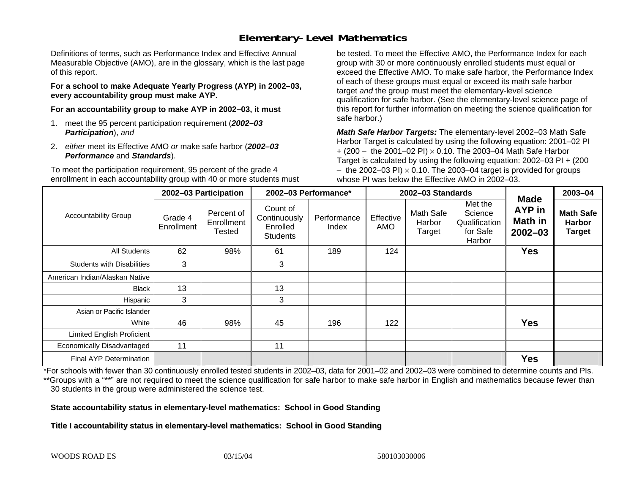# **Elementary-Level Mathematics**

Definitions of terms, such as Performance Index and Effective Annual Measurable Objective (AMO), are in the glossary, which is the last page of this report.

**For a school to make Adequate Yearly Progress (AYP) in 2002–03, every accountability group must make AYP.** 

**For an accountability group to make AYP in 2002–03, it must** 

- 1. meet the 95 percent participation requirement (*2002–03 Participation*), *and*
- 2. *either* meet its Effective AMO *or* make safe harbor (*2002–03 Performance* and *Standards*).

To meet the participation requirement, 95 percent of the grade 4 enrollment in each accountability group with 40 or more students must

be tested. To meet the Effective AMO, the Performance Index for each group with 30 or more continuously enrolled students must equal or exceed the Effective AMO. To make safe harbor, the Performance Index of each of these groups must equal or exceed its math safe harbor target *and* the group must meet the elementary-level science qualification for safe harbor. (See the elementary-level science page of this report for further information on meeting the science qualification for safe harbor.)

*Math Safe Harbor Targets:* The elementary-level 2002–03 Math Safe Harbor Target is calculated by using the following equation: 2001–02 PI + (200 – the 2001–02 PI) × 0.10. The 2003–04 Math Safe Harbor Target is calculated by using the following equation: 2002–03 PI + (200  $-$  the 2002–03 PI)  $\times$  0.10. The 2003–04 target is provided for groups whose PI was below the Effective AMO in 2002–03.

| <b>Accountability Group</b>       | 2002-03 Participation |                                    | 2002-03 Performance*                                    |                      | 2002-03 Standards       |                               |                                                           |                                                        | 2003-04                                            |
|-----------------------------------|-----------------------|------------------------------------|---------------------------------------------------------|----------------------|-------------------------|-------------------------------|-----------------------------------------------------------|--------------------------------------------------------|----------------------------------------------------|
|                                   | Grade 4<br>Enrollment | Percent of<br>Enrollment<br>Tested | Count of<br>Continuously<br>Enrolled<br><b>Students</b> | Performance<br>Index | Effective<br><b>AMO</b> | Math Safe<br>Harbor<br>Target | Met the<br>Science<br>Qualification<br>for Safe<br>Harbor | <b>Made</b><br>AYP in<br><b>Math in</b><br>$2002 - 03$ | <b>Math Safe</b><br><b>Harbor</b><br><b>Target</b> |
| All Students                      | 62                    | 98%                                | 61                                                      | 189                  | 124                     |                               |                                                           | <b>Yes</b>                                             |                                                    |
| <b>Students with Disabilities</b> | 3                     |                                    | 3                                                       |                      |                         |                               |                                                           |                                                        |                                                    |
| American Indian/Alaskan Native    |                       |                                    |                                                         |                      |                         |                               |                                                           |                                                        |                                                    |
| <b>Black</b>                      | 13                    |                                    | 13                                                      |                      |                         |                               |                                                           |                                                        |                                                    |
| Hispanic                          | 3                     |                                    | 3                                                       |                      |                         |                               |                                                           |                                                        |                                                    |
| Asian or Pacific Islander         |                       |                                    |                                                         |                      |                         |                               |                                                           |                                                        |                                                    |
| White                             | 46                    | 98%                                | 45                                                      | 196                  | 122                     |                               |                                                           | <b>Yes</b>                                             |                                                    |
| <b>Limited English Proficient</b> |                       |                                    |                                                         |                      |                         |                               |                                                           |                                                        |                                                    |
| Economically Disadvantaged        | 11                    |                                    | 11                                                      |                      |                         |                               |                                                           |                                                        |                                                    |
| <b>Final AYP Determination</b>    |                       |                                    |                                                         |                      |                         |                               |                                                           | <b>Yes</b>                                             |                                                    |

\*For schools with fewer than 30 continuously enrolled tested students in 2002–03, data for 2001–02 and 2002–03 were combined to determine counts and PIs. \*\*Groups with a "\*\*" are not required to meet the science qualification for safe harbor to make safe harbor in English and mathematics because fewer than 30 students in the group were administered the science test.

**State accountability status in elementary-level mathematics: School in Good Standing** 

Title I accountability status in elementary-level mathematics: School in Good Standing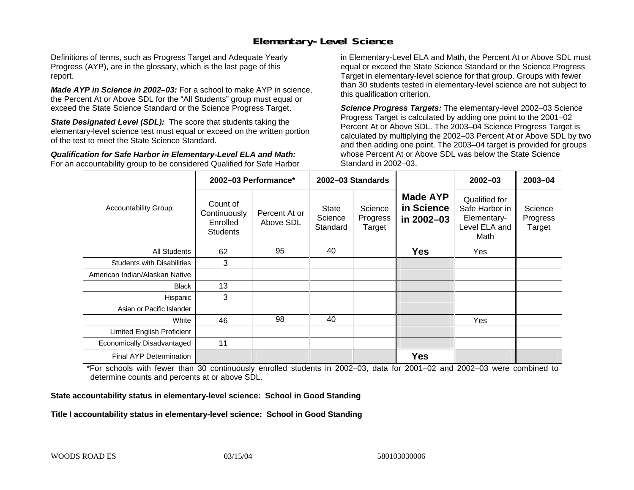## **Elementary-Level Science**

Definitions of terms, such as Progress Target and Adequate Yearly Progress (AYP), are in the glossary, which is the last page of this report.

*Made AYP in Science in 2002–03:* For a school to make AYP in science, the Percent At or Above SDL for the "All Students" group must equal or exceed the State Science Standard or the Science Progress Target.

**State Designated Level (SDL):** The score that students taking the elementary-level science test must equal or exceed on the written portion of the test to meet the State Science Standard.

*Qualification for Safe Harbor in Elementary-Level ELA and Math:* For an accountability group to be considered Qualified for Safe Harbor in Elementary-Level ELA and Math, the Percent At or Above SDL must equal or exceed the State Science Standard or the Science Progress Target in elementary-level science for that group. Groups with fewer than 30 students tested in elementary-level science are not subject to this qualification criterion.

*Science Progress Targets:* The elementary-level 2002–03 Science Progress Target is calculated by adding one point to the 2001–02 Percent At or Above SDL. The 2003–04 Science Progress Target is calculated by multiplying the 2002–03 Percent At or Above SDL by two and then adding one point. The 2003–04 target is provided for groups whose Percent At or Above SDL was below the State Science Standard in 2002–03.

|                                   |                                                         | 2002-03 Performance*       | 2002-03 Standards                   |                               |                                             | $2002 - 03$                                                             | $2003 - 04$                   |
|-----------------------------------|---------------------------------------------------------|----------------------------|-------------------------------------|-------------------------------|---------------------------------------------|-------------------------------------------------------------------------|-------------------------------|
| <b>Accountability Group</b>       | Count of<br>Continuously<br>Enrolled<br><b>Students</b> | Percent At or<br>Above SDL | <b>State</b><br>Science<br>Standard | Science<br>Progress<br>Target | <b>Made AYP</b><br>in Science<br>in 2002-03 | Qualified for<br>Safe Harbor in<br>Elementary-<br>Level ELA and<br>Math | Science<br>Progress<br>Target |
| All Students                      | 62                                                      | 95                         | 40                                  |                               | <b>Yes</b>                                  | Yes                                                                     |                               |
| <b>Students with Disabilities</b> | 3                                                       |                            |                                     |                               |                                             |                                                                         |                               |
| American Indian/Alaskan Native    |                                                         |                            |                                     |                               |                                             |                                                                         |                               |
| <b>Black</b>                      | 13                                                      |                            |                                     |                               |                                             |                                                                         |                               |
| Hispanic                          | 3                                                       |                            |                                     |                               |                                             |                                                                         |                               |
| Asian or Pacific Islander         |                                                         |                            |                                     |                               |                                             |                                                                         |                               |
| White                             | 46                                                      | 98                         | 40                                  |                               |                                             | Yes                                                                     |                               |
| Limited English Proficient        |                                                         |                            |                                     |                               |                                             |                                                                         |                               |
| Economically Disadvantaged        | 11                                                      |                            |                                     |                               |                                             |                                                                         |                               |
| <b>Final AYP Determination</b>    |                                                         |                            |                                     |                               | <b>Yes</b>                                  |                                                                         |                               |

\*For schools with fewer than 30 continuously enrolled students in 2002–03, data for 2001–02 and 2002–03 were combined to determine counts and percents at or above SDL.

#### **State accountability status in elementary-level science: School in Good Standing**

#### Title I accountability status in elementary-level science: School in Good Standing